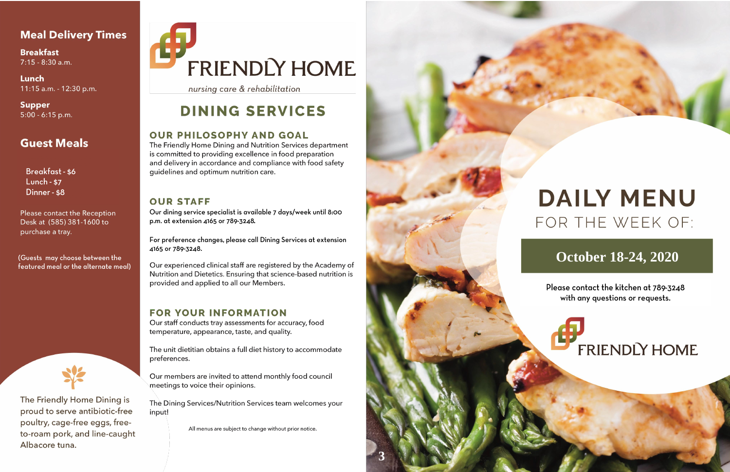## **Meal Delivery Times**

**Breakfast** 7:15 - 8:30 a.m.

Lunch 11:15 a.m. - 12:30 p.m.

Supper  $5:00 - 6:15$  p.m.

# **Guest Meals**

Breakfast - \$6 **Lunch - \$7** Dinner - \$8

Please contact the Reception Desk at (585) 381-1600 to purchase a tray.

(Guests may choose between the featured meal or the alternate meal)



The Friendly Home Dining is proud to serve antibiotic-free poultry, cage-free eggs, freeto-roam pork, and line-caught Albacore tuna.

# FRIENDLY HOME

nursing care & rehabilitation

# **DINING SERVICES**

### **OUR PHILOSOPHY AND GOAL**

The Friendly Home Dining and Nutrition Services department is committed to providing excellence in food preparation and delivery in accordance and compliance with food safety guidelines and optimum nutrition care.

### **OUR STAFF**

Our dining service specialist is available 7 days/week until 8:00 p.m. at extension 4165 or 789-3248.

For preference changes, please call Dining Services at extension 4165 or 789-3248.

Our experienced clinical staff are registered by the Academy of Nutrition and Dietetics. Ensuring that science-based nutrition is provided and applied to all our Members.

### **FOR YOUR INFORMATION**

Our staff conducts tray assessments for accuracy, food temperature, appearance, taste, and quality.

The unit dietitian obtains a full diet history to accommodate preferences.

Our members are invited to attend monthly food council meetings to voice their opinions.

The Dining Services/Nutrition Services team welcomes your input!

All menus are subject to change without prior notice.



# **DAILY MENU** FOR THE WEEK OF:

# **October 18-24, 2020**

Please contact the kitchen at 789-3248 with any questions or requests.